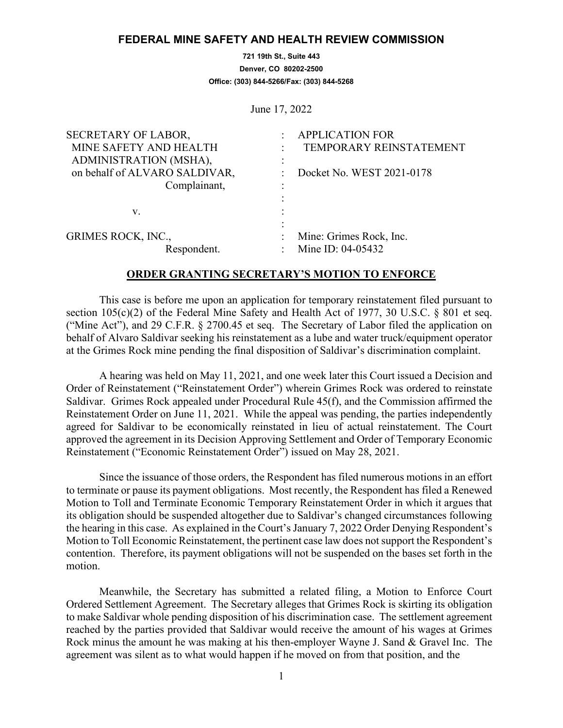## **FEDERAL MINE SAFETY AND HEALTH REVIEW COMMISSION**

**721 19th St., Suite 443 Denver, CO 80202-2500 Office: (303) 844-5266/Fax: (303) 844-5268**

June 17, 2022

| SECRETARY OF LABOR,           | <b>APPLICATION FOR</b>    |
|-------------------------------|---------------------------|
| MINE SAFETY AND HEALTH        | TEMPORARY REINSTATEMENT   |
| ADMINISTRATION (MSHA),        | ۰                         |
| on behalf of ALVARO SALDIVAR, | Docket No. WEST 2021-0178 |
| Complainant,                  |                           |
|                               |                           |
| V.                            |                           |
|                               |                           |
| <b>GRIMES ROCK, INC.,</b>     | Mine: Grimes Rock, Inc.   |
| Respondent.                   | Mine ID: 04-05432         |

## **ORDER GRANTING SECRETARY'S MOTION TO ENFORCE**

This case is before me upon an application for temporary reinstatement filed pursuant to section 105(c)(2) of the Federal Mine Safety and Health Act of 1977, 30 U.S.C. § 801 et seq. ("Mine Act"), and 29 C.F.R. § 2700.45 et seq. The Secretary of Labor filed the application on behalf of Alvaro Saldivar seeking his reinstatement as a lube and water truck/equipment operator at the Grimes Rock mine pending the final disposition of Saldivar's discrimination complaint.

A hearing was held on May 11, 2021, and one week later this Court issued a Decision and Order of Reinstatement ("Reinstatement Order") wherein Grimes Rock was ordered to reinstate Saldivar. Grimes Rock appealed under Procedural Rule 45(f), and the Commission affirmed the Reinstatement Order on June 11, 2021. While the appeal was pending, the parties independently agreed for Saldivar to be economically reinstated in lieu of actual reinstatement. The Court approved the agreement in its Decision Approving Settlement and Order of Temporary Economic Reinstatement ("Economic Reinstatement Order") issued on May 28, 2021.

Since the issuance of those orders, the Respondent has filed numerous motions in an effort to terminate or pause its payment obligations. Most recently, the Respondent has filed a Renewed Motion to Toll and Terminate Economic Temporary Reinstatement Order in which it argues that its obligation should be suspended altogether due to Saldivar's changed circumstances following the hearing in this case. As explained in the Court's January 7, 2022 Order Denying Respondent's Motion to Toll Economic Reinstatement, the pertinent case law does not support the Respondent's contention. Therefore, its payment obligations will not be suspended on the bases set forth in the motion.

Meanwhile, the Secretary has submitted a related filing, a Motion to Enforce Court Ordered Settlement Agreement. The Secretary alleges that Grimes Rock is skirting its obligation to make Saldivar whole pending disposition of his discrimination case. The settlement agreement reached by the parties provided that Saldivar would receive the amount of his wages at Grimes Rock minus the amount he was making at his then-employer Wayne J. Sand & Gravel Inc. The agreement was silent as to what would happen if he moved on from that position, and the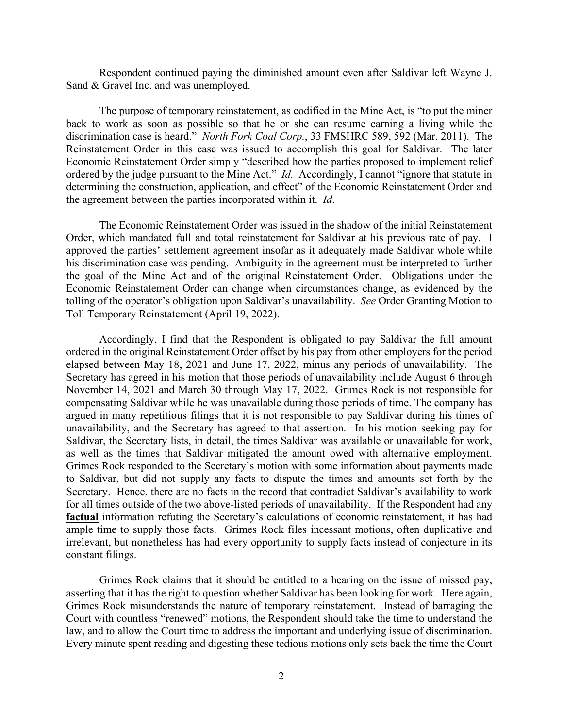Respondent continued paying the diminished amount even after Saldivar left Wayne J. Sand & Gravel Inc. and was unemployed.

The purpose of temporary reinstatement, as codified in the Mine Act, is "to put the miner back to work as soon as possible so that he or she can resume earning a living while the discrimination case is heard." *North Fork Coal Corp.*, 33 FMSHRC 589, 592 (Mar. 2011). The Reinstatement Order in this case was issued to accomplish this goal for Saldivar. The later Economic Reinstatement Order simply "described how the parties proposed to implement relief ordered by the judge pursuant to the Mine Act." *Id.* Accordingly, I cannot "ignore that statute in determining the construction, application, and effect" of the Economic Reinstatement Order and the agreement between the parties incorporated within it. *Id*.

The Economic Reinstatement Order was issued in the shadow of the initial Reinstatement Order, which mandated full and total reinstatement for Saldivar at his previous rate of pay. I approved the parties' settlement agreement insofar as it adequately made Saldivar whole while his discrimination case was pending. Ambiguity in the agreement must be interpreted to further the goal of the Mine Act and of the original Reinstatement Order. Obligations under the Economic Reinstatement Order can change when circumstances change, as evidenced by the tolling of the operator's obligation upon Saldivar's unavailability. *See* Order Granting Motion to Toll Temporary Reinstatement (April 19, 2022).

Accordingly, I find that the Respondent is obligated to pay Saldivar the full amount ordered in the original Reinstatement Order offset by his pay from other employers for the period elapsed between May 18, 2021 and June 17, 2022, minus any periods of unavailability. The Secretary has agreed in his motion that those periods of unavailability include August 6 through November 14, 2021 and March 30 through May 17, 2022. Grimes Rock is not responsible for compensating Saldivar while he was unavailable during those periods of time. The company has argued in many repetitious filings that it is not responsible to pay Saldivar during his times of unavailability, and the Secretary has agreed to that assertion. In his motion seeking pay for Saldivar, the Secretary lists, in detail, the times Saldivar was available or unavailable for work, as well as the times that Saldivar mitigated the amount owed with alternative employment. Grimes Rock responded to the Secretary's motion with some information about payments made to Saldivar, but did not supply any facts to dispute the times and amounts set forth by the Secretary. Hence, there are no facts in the record that contradict Saldivar's availability to work for all times outside of the two above-listed periods of unavailability. If the Respondent had any **factual** information refuting the Secretary's calculations of economic reinstatement, it has had ample time to supply those facts. Grimes Rock files incessant motions, often duplicative and irrelevant, but nonetheless has had every opportunity to supply facts instead of conjecture in its constant filings.

Grimes Rock claims that it should be entitled to a hearing on the issue of missed pay, asserting that it has the right to question whether Saldivar has been looking for work. Here again, Grimes Rock misunderstands the nature of temporary reinstatement. Instead of barraging the Court with countless "renewed" motions, the Respondent should take the time to understand the law, and to allow the Court time to address the important and underlying issue of discrimination. Every minute spent reading and digesting these tedious motions only sets back the time the Court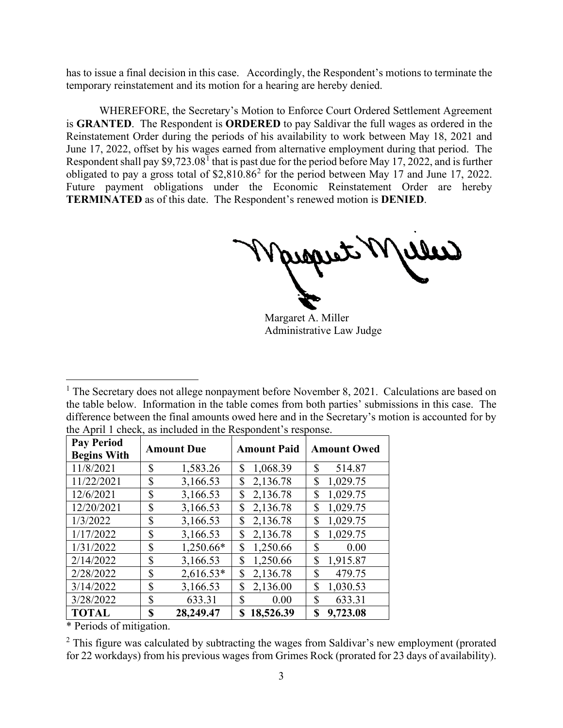has to issue a final decision in this case. Accordingly, the Respondent's motions to terminate the temporary reinstatement and its motion for a hearing are hereby denied.

WHEREFORE, the Secretary's Motion to Enforce Court Ordered Settlement Agreement is **GRANTED**. The Respondent is **ORDERED** to pay Saldivar the full wages as ordered in the Reinstatement Order during the periods of his availability to work between May 18, 2021 and June 17, 2022, offset by his wages earned from alternative employment during that period. The Respondent shall pay  $$9,723.08<sup>1</sup>$  $$9,723.08<sup>1</sup>$  $$9,723.08<sup>1</sup>$  that is past due for the period before May 17, 2022, and is further obligated to pay a gross total of \$2,810.86[2](#page-2-1) for the period between May 17 and June 17, 2022. Future payment obligations under the Economic Reinstatement Order are hereby **TERMINATED** as of this date. The Respondent's renewed motion is **DENIED**.

Margaret A. Miller Administrative Law Judge

<span id="page-2-0"></span><sup>&</sup>lt;sup>1</sup> The Secretary does not allege nonpayment before November 8, 2021. Calculations are based on the table below. Information in the table comes from both parties' submissions in this case. The difference between the final amounts owed here and in the Secretary's motion is accounted for by the April 1 check, as included in the Respondent's response.

| <b>Pay Period</b>  | <b>Amount Due</b> |             | <b>Amount Paid</b> | <b>Amount Owed</b> |
|--------------------|-------------------|-------------|--------------------|--------------------|
| <b>Begins With</b> |                   |             |                    |                    |
| 11/8/2021          | \$                | 1,583.26    | \$<br>1,068.39     | \$<br>514.87       |
| 11/22/2021         | \$                | 3,166.53    | 2,136.78<br>\$     | 1,029.75<br>\$     |
| 12/6/2021          | \$                | 3,166.53    | \$<br>2,136.78     | 1,029.75<br>\$     |
| 12/20/2021         | \$                | 3,166.53    | \$<br>2,136.78     | 1,029.75<br>\$     |
| 1/3/2022           | \$                | 3,166.53    | \$<br>2,136.78     | 1,029.75<br>\$     |
| 1/17/2022          | \$                | 3,166.53    | \$<br>2,136.78     | \$<br>1,029.75     |
| 1/31/2022          | $\mathcal{S}$     | 1,250.66*   | \$<br>1,250.66     | \$<br>0.00         |
| 2/14/2022          | \$                | 3,166.53    | \$<br>1,250.66     | 1,915.87<br>\$     |
| 2/28/2022          | \$                | $2,616.53*$ | \$<br>2,136.78     | \$<br>479.75       |
| 3/14/2022          | $\mathcal{S}$     | 3,166.53    | \$<br>2,136.00     | \$<br>1,030.53     |
| 3/28/2022          | \$                | 633.31      | \$<br>0.00         | \$<br>633.31       |
| <b>TOTAL</b>       | \$                | 28,249.47   | 18,526.39<br>\$    | 9,723.08<br>\$     |

\* Periods of mitigation.

<span id="page-2-1"></span> $2$  This figure was calculated by subtracting the wages from Saldivar's new employment (prorated for 22 workdays) from his previous wages from Grimes Rock (prorated for 23 days of availability).